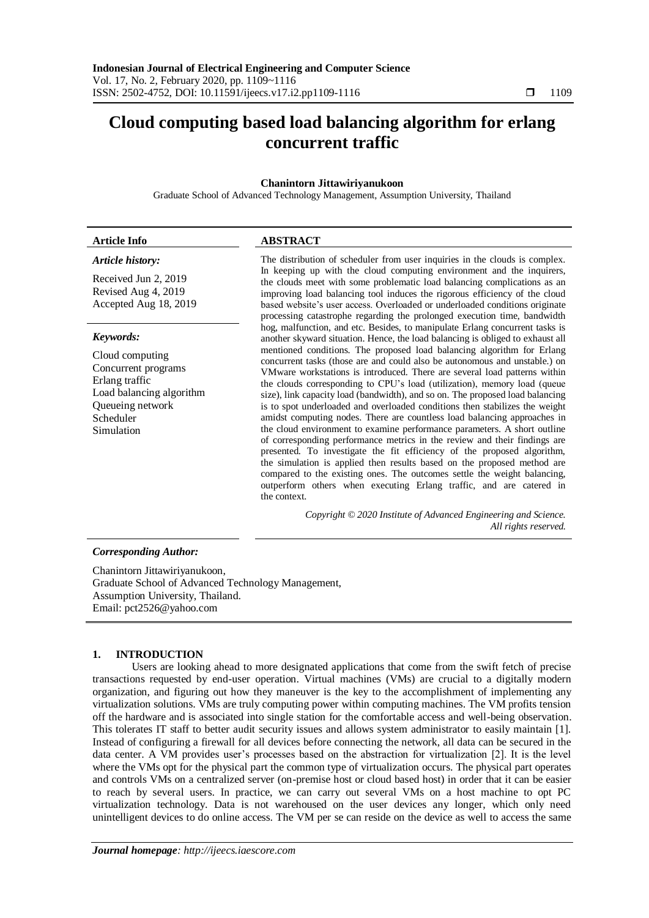# **Cloud computing based load balancing algorithm for erlang concurrent traffic**

# **Chanintorn Jittawiriyanukoon**

Graduate School of Advanced Technology Management, Assumption University, Thailand

### *Article history:*

Received Jun 2, 2019 Revised Aug 4, 2019 Accepted Aug 18, 2019

#### *Keywords:*

Cloud computing Concurrent programs Erlang traffic Load balancing algorithm Queueing network Scheduler Simulation

# **Article Info ABSTRACT**

The distribution of scheduler from user inquiries in the clouds is complex. In keeping up with the cloud computing environment and the inquirers, the clouds meet with some problematic load balancing complications as an improving load balancing tool induces the rigorous efficiency of the cloud based website's user access. Overloaded or underloaded conditions originate processing catastrophe regarding the prolonged execution time, bandwidth hog, malfunction, and etc. Besides, to manipulate Erlang concurrent tasks is another skyward situation. Hence, the load balancing is obliged to exhaust all mentioned conditions. The proposed load balancing algorithm for Erlang concurrent tasks (those are and could also be autonomous and unstable.) on VMware workstations is introduced. There are several load patterns within the clouds corresponding to CPU's load (utilization), memory load (queue size), link capacity load (bandwidth), and so on. The proposed load balancing is to spot underloaded and overloaded conditions then stabilizes the weight amidst computing nodes. There are countless load balancing approaches in the cloud environment to examine performance parameters. A short outline of corresponding performance metrics in the review and their findings are presented. To investigate the fit efficiency of the proposed algorithm, the simulation is applied then results based on the proposed method are compared to the existing ones. The outcomes settle the weight balancing, outperform others when executing Erlang traffic, and are catered in the context.

> *Copyright © 2020 Institute of Advanced Engineering and Science. All rights reserved.*

#### *Corresponding Author:*

Chanintorn Jittawiriyanukoon, Graduate School of Advanced Technology Management, Assumption University, Thailand. Email: pct2526@yahoo.com

#### **1. INTRODUCTION**

Users are looking ahead to more designated applications that come from the swift fetch of precise transactions requested by end-user operation. Virtual machines (VMs) are crucial to a digitally modern organization, and figuring out how they maneuver is the key to the accomplishment of implementing any virtualization solutions. VMs are truly computing power within computing machines. The VM profits tension off the hardware and is associated into single station for the comfortable access and well-being observation. This tolerates IT staff to better audit security issues and allows system administrator to easily maintain [1]. Instead of configuring a firewall for all devices before connecting the network, all data can be secured in the data center. A VM provides user's processes based on the abstraction for virtualization [2]. It is the level where the VMs opt for the physical part the common type of virtualization occurs. The physical part operates and controls VMs on a centralized server (on-premise host or cloud based host) in order that it can be easier to reach by several users. In practice, we can carry out several VMs on a host machine to opt PC virtualization technology. Data is not warehoused on the user devices any longer, which only need unintelligent devices to do online access. The VM per se can reside on the device as well to access the same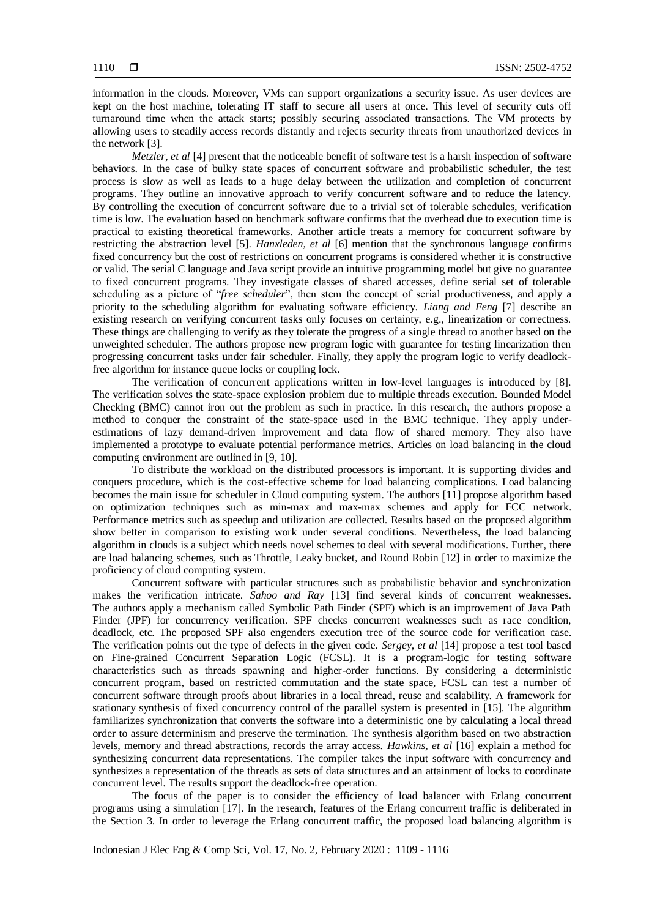information in the clouds. Moreover, VMs can support organizations a security issue. As user devices are kept on the host machine, tolerating IT staff to secure all users at once. This level of security cuts off turnaround time when the attack starts; possibly securing associated transactions. The VM protects by allowing users to steadily access records distantly and rejects security threats from unauthorized devices in the network [3].

*Metzler, et al* [4] present that the noticeable benefit of software test is a harsh inspection of software behaviors. In the case of bulky state spaces of concurrent software and probabilistic scheduler, the test process is slow as well as leads to a huge delay between the utilization and completion of concurrent programs. They outline an innovative approach to verify concurrent software and to reduce the latency. By controlling the execution of concurrent software due to a trivial set of tolerable schedules, verification time is low. The evaluation based on benchmark software confirms that the overhead due to execution time is practical to existing theoretical frameworks. Another article treats a memory for concurrent software by restricting the abstraction level [5]. *Hanxleden, et al* [6] mention that the synchronous language confirms fixed concurrency but the cost of restrictions on concurrent programs is considered whether it is constructive or valid. The serial C language and Java script provide an intuitive programming model but give no guarantee to fixed concurrent programs. They investigate classes of shared accesses, define serial set of tolerable scheduling as a picture of "*free scheduler*", then stem the concept of serial productiveness, and apply a priority to the scheduling algorithm for evaluating software efficiency. *Liang and Feng* [7] describe an existing research on verifying concurrent tasks only focuses on certainty, e.g., linearization or correctness. These things are challenging to verify as they tolerate the progress of a single thread to another based on the unweighted scheduler. The authors propose new program logic with guarantee for testing linearization then progressing concurrent tasks under fair scheduler. Finally, they apply the program logic to verify deadlockfree algorithm for instance queue locks or coupling lock.

The verification of concurrent applications written in low-level languages is introduced by [8]. The verification solves the state-space explosion problem due to multiple threads execution. Bounded Model Checking (BMC) cannot iron out the problem as such in practice. In this research, the authors propose a method to conquer the constraint of the state-space used in the BMC technique. They apply underestimations of lazy demand-driven improvement and data flow of shared memory. They also have implemented a prototype to evaluate potential performance metrics. Articles on load balancing in the cloud computing environment are outlined in [9, 10].

To distribute the workload on the distributed processors is important. It is supporting divides and conquers procedure, which is the cost-effective scheme for load balancing complications. Load balancing becomes the main issue for scheduler in Cloud computing system. The authors [11] propose algorithm based on optimization techniques such as min-max and max-max schemes and apply for FCC network. Performance metrics such as speedup and utilization are collected. Results based on the proposed algorithm show better in comparison to existing work under several conditions. Nevertheless, the load balancing algorithm in clouds is a subject which needs novel schemes to deal with several modifications. Further, there are load balancing schemes, such as Throttle, Leaky bucket, and Round Robin [12] in order to maximize the proficiency of cloud computing system.

Concurrent software with particular structures such as probabilistic behavior and synchronization makes the verification intricate. *Sahoo and Ray* [13] find several kinds of concurrent weaknesses. The authors apply a mechanism called Symbolic Path Finder (SPF) which is an improvement of Java Path Finder (JPF) for concurrency verification. SPF checks concurrent weaknesses such as race condition, deadlock, etc. The proposed SPF also engenders execution tree of the source code for verification case. The verification points out the type of defects in the given code. *Sergey, et al* [14] propose a test tool based on Fine-grained Concurrent Separation Logic (FCSL). It is a program-logic for testing software characteristics such as threads spawning and higher-order functions. By considering a deterministic concurrent program, based on restricted commutation and the state space, FCSL can test a number of concurrent software through proofs about libraries in a local thread, reuse and scalability. A framework for stationary synthesis of fixed concurrency control of the parallel system is presented in [15]. The algorithm familiarizes synchronization that converts the software into a deterministic one by calculating a local thread order to assure determinism and preserve the termination. The synthesis algorithm based on two abstraction levels, memory and thread abstractions, records the array access. *Hawkins, et al* [16] explain a method for synthesizing concurrent data representations. The compiler takes the input software with concurrency and synthesizes a representation of the threads as sets of data structures and an attainment of locks to coordinate concurrent level. The results support the deadlock-free operation.

The focus of the paper is to consider the efficiency of load balancer with Erlang concurrent programs using a simulation [17]. In the research, features of the Erlang concurrent traffic is deliberated in the Section 3. In order to leverage the Erlang concurrent traffic, the proposed load balancing algorithm is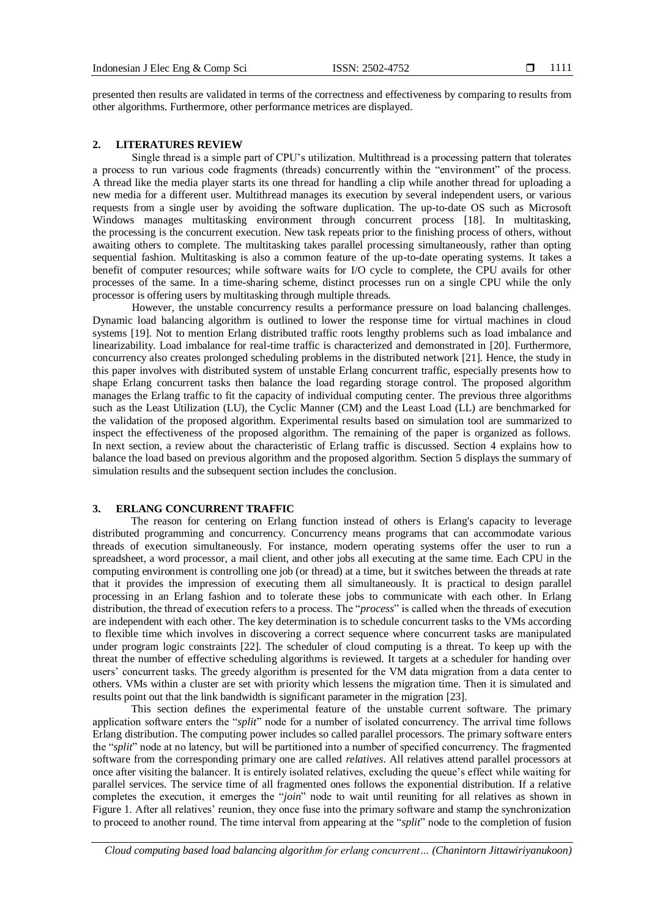presented then results are validated in terms of the correctness and effectiveness by comparing to results from other algorithms. Furthermore, other performance metrices are displayed.

#### **2. LITERATURES REVIEW**

Single thread is a simple part of CPU's utilization. Multithread is a processing pattern that tolerates a process to run various code fragments (threads) concurrently within the "environment" of the process. A thread like the media player starts its one thread for handling a clip while another thread for uploading a new media for a different user. Multithread manages its execution by several independent users, or various requests from a single user by avoiding the software duplication. The up-to-date OS such as Microsoft Windows manages multitasking environment through concurrent process [18]. In multitasking, the processing is the concurrent execution. New task repeats prior to the finishing process of others, without awaiting others to complete. The multitasking takes parallel processing simultaneously, rather than opting sequential fashion. Multitasking is also a common feature of the up-to-date operating systems. It takes a benefit of computer resources; while software waits for I/O cycle to complete, the CPU avails for other processes of the same. In a time-sharing scheme, distinct processes run on a single CPU while the only processor is offering users by multitasking through multiple threads.

However, the unstable concurrency results a performance pressure on load balancing challenges. Dynamic load balancing algorithm is outlined to lower the response time for virtual machines in cloud systems [19]. Not to mention Erlang distributed traffic roots lengthy problems such as load imbalance and linearizability. Load imbalance for real-time traffic is characterized and demonstrated in [20]. Furthermore, concurrency also creates prolonged scheduling problems in the distributed network [21]. Hence, the study in this paper involves with distributed system of unstable Erlang concurrent traffic, especially presents how to shape Erlang concurrent tasks then balance the load regarding storage control. The proposed algorithm manages the Erlang traffic to fit the capacity of individual computing center. The previous three algorithms such as the Least Utilization (LU), the Cyclic Manner (CM) and the Least Load (LL) are benchmarked for the validation of the proposed algorithm. Experimental results based on simulation tool are summarized to inspect the effectiveness of the proposed algorithm. The remaining of the paper is organized as follows. In next section, a review about the characteristic of Erlang traffic is discussed. Section 4 explains how to balance the load based on previous algorithm and the proposed algorithm. Section 5 displays the summary of simulation results and the subsequent section includes the conclusion.

### **3. ERLANG CONCURRENT TRAFFIC**

The reason for centering on Erlang function instead of others is Erlang's capacity to leverage distributed programming and concurrency. Concurrency means programs that can accommodate various threads of execution simultaneously. For instance, modern operating systems offer the user to run a spreadsheet, a word processor, a mail client, and other jobs all executing at the same time. Each CPU in the computing environment is controlling one job (or thread) at a time, but it switches between the threads at rate that it provides the impression of executing them all simultaneously. It is practical to design parallel processing in an Erlang fashion and to tolerate these jobs to communicate with each other. In Erlang distribution, the thread of execution refers to a process. The "*process*" is called when the threads of execution are independent with each other. The key determination is to schedule concurrent tasks to the VMs according to flexible time which involves in discovering a correct sequence where concurrent tasks are manipulated under program logic constraints [22]. The scheduler of cloud computing is a threat. To keep up with the threat the number of effective scheduling algorithms is reviewed. It targets at a scheduler for handing over users' concurrent tasks. The greedy algorithm is presented for the VM data migration from a data center to others. VMs within a cluster are set with priority which lessens the migration time. Then it is simulated and results point out that the link bandwidth is significant parameter in the migration [23].

This section defines the experimental feature of the unstable current software. The primary application software enters the "*split*" node for a number of isolated concurrency. The arrival time follows Erlang distribution. The computing power includes so called parallel processors. The primary software enters the "*split*" node at no latency, but will be partitioned into a number of specified concurrency. The fragmented software from the corresponding primary one are called *relatives*. All relatives attend parallel processors at once after visiting the balancer. It is entirely isolated relatives, excluding the queue's effect while waiting for parallel services. The service time of all fragmented ones follows the exponential distribution. If a relative completes the execution, it emerges the "*join*" node to wait until reuniting for all relatives as shown in Figure 1. After all relatives' reunion, they once fuse into the primary software and stamp the synchronization to proceed to another round. The time interval from appearing at the "*split*" node to the completion of fusion

*Cloud computing based load balancing algorithm for erlang concurrent… (Chanintorn Jittawiriyanukoon)*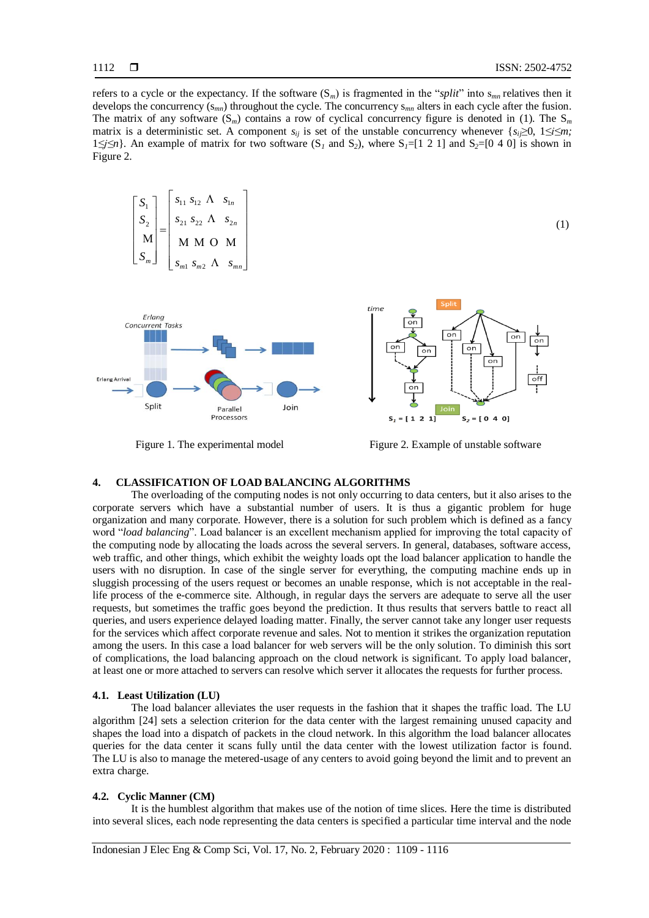(1)

refers to a cycle or the expectancy. If the software  $(S_m)$  is fragmented in the "*split*" into  $s_{mn}$  relatives then it develops the concurrency (s*mn*) throughout the cycle. The concurrency s*mn* alters in each cycle after the fusion. The matrix of any software  $(S_m)$  contains a row of cyclical concurrency figure is denoted in (1). The  $S_m$ matrix is a deterministic set. A component  $s_{ij}$  is set of the unstable concurrency whenever  $\{s_i \geq 0, 1 \leq i \leq m\}$ ;  $1 \leq j \leq n$ *}.* An example of matrix for two software (S<sub>*I*</sub> and S<sub>2</sub>), where S<sub>*I*</sub>=[1 2 1] and S<sub>2</sub>=[0 4 0] is shown in Figure 2.

$$
\begin{bmatrix} S_1 \\ S_2 \\ M \\ S_m \end{bmatrix} = \begin{bmatrix} s_{11} & s_{12} & \Lambda & s_{1n} \\ s_{21} & s_{22} & \Lambda & s_{2n} \\ M & M & O & M \\ s_{m1} & s_{m2} & \Lambda & s_{mn} \end{bmatrix}
$$





Figure 1. The experimental model Figure 2. Example of unstable software

## **4. CLASSIFICATION OF LOAD BALANCING ALGORITHMS**

The overloading of the computing nodes is not only occurring to data centers, but it also arises to the corporate servers which have a substantial number of users. It is thus a gigantic problem for huge organization and many corporate. However, there is a solution for such problem which is defined as a fancy word "*load balancing*". Load balancer is an excellent mechanism applied for improving the total capacity of the computing node by allocating the loads across the several servers. In general, databases, software access, web traffic, and other things, which exhibit the weighty loads opt the load balancer application to handle the users with no disruption. In case of the single server for everything, the computing machine ends up in sluggish processing of the users request or becomes an unable response, which is not acceptable in the reallife process of the e-commerce site. Although, in regular days the servers are adequate to serve all the user requests, but sometimes the traffic goes beyond the prediction. It thus results that servers battle to react all queries, and users experience delayed loading matter. Finally, the server cannot take any longer user requests for the services which affect corporate revenue and sales. Not to mention it strikes the organization reputation among the users. In this case a load balancer for web servers will be the only solution. To diminish this sort of complications, the load balancing approach on the cloud network is significant. To apply load balancer, at least one or more attached to servers can resolve which server it allocates the requests for further process.

#### **4.1. Least Utilization (LU)**

The load balancer alleviates the user requests in the fashion that it shapes the traffic load. The LU algorithm [24] sets a selection criterion for the data center with the largest remaining unused capacity and shapes the load into a dispatch of packets in the cloud network. In this algorithm the load balancer allocates queries for the data center it scans fully until the data center with the lowest utilization factor is found. The LU is also to manage the metered-usage of any centers to avoid going beyond the limit and to prevent an extra charge.

#### **4.2. Cyclic Manner (CM)**

It is the humblest algorithm that makes use of the notion of time slices. Here the time is distributed into several slices, each node representing the data centers is specified a particular time interval and the node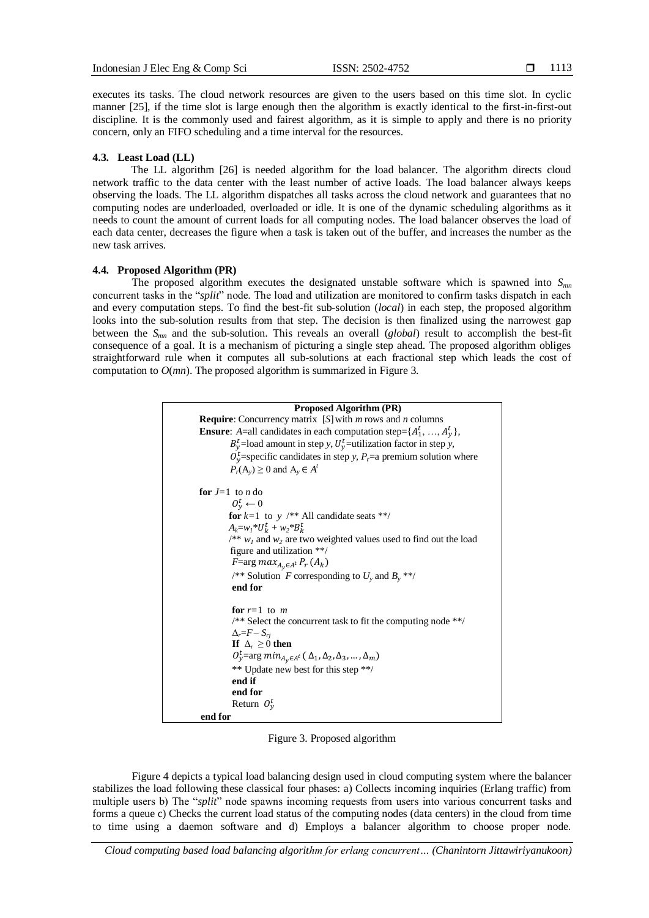executes its tasks. The cloud network resources are given to the users based on this time slot. In cyclic manner [25], if the time slot is large enough then the algorithm is exactly identical to the first-in-first-out discipline. It is the commonly used and fairest algorithm, as it is simple to apply and there is no priority concern, only an FIFO scheduling and a time interval for the resources.

#### **4.3. Least Load (LL)**

The LL algorithm [26] is needed algorithm for the load balancer. The algorithm directs cloud network traffic to the data center with the least number of active loads. The load balancer always keeps observing the loads. The LL algorithm dispatches all tasks across the cloud network and guarantees that no computing nodes are underloaded, overloaded or idle. It is one of the dynamic scheduling algorithms as it needs to count the amount of current loads for all computing nodes. The load balancer observes the load of each data center, decreases the figure when a task is taken out of the buffer, and increases the number as the new task arrives.

### **4.4. Proposed Algorithm (PR)**

The proposed algorithm executes the designated unstable software which is spawned into  $S_{mn}$ concurrent tasks in the "*split*" node. The load and utilization are monitored to confirm tasks dispatch in each and every computation steps. To find the best-fit sub-solution (*local*) in each step, the proposed algorithm looks into the sub-solution results from that step. The decision is then finalized using the narrowest gap between the *Smn* and the sub-solution. This reveals an overall (*global*) result to accomplish the best-fit consequence of a goal. It is a mechanism of picturing a single step ahead. The proposed algorithm obliges straightforward rule when it computes all sub-solutions at each fractional step which leads the cost of computation to *O*(*mn*). The proposed algorithm is summarized in Figure 3.

| <b>Proposed Algorithm (PR)</b>                                                                                              |  |  |  |  |  |
|-----------------------------------------------------------------------------------------------------------------------------|--|--|--|--|--|
| <b>Require:</b> Concurrency matrix [S] with $m$ rows and $n$ columns                                                        |  |  |  |  |  |
| <b>Ensure</b> : A=all candidates in each computation step= $\{A_1^t, , A_v^t\}$ ,                                           |  |  |  |  |  |
| $B_v^t$ =load amount in step y, $U_v^t$ =utilization factor in step y,                                                      |  |  |  |  |  |
| $O_v^t$ =specific candidates in step y, P <sub>r</sub> =a premium solution where                                            |  |  |  |  |  |
| $P_r(A_v) \geq 0$ and $A_v \in A^t$                                                                                         |  |  |  |  |  |
|                                                                                                                             |  |  |  |  |  |
| for $J=1$ to n do                                                                                                           |  |  |  |  |  |
| $0_v^t \leftarrow 0$                                                                                                        |  |  |  |  |  |
| for $k=1$ to y /** All candidate seats **/                                                                                  |  |  |  |  |  |
| $A_k = w_l^* U_k^t + w_2^* B_k^t$                                                                                           |  |  |  |  |  |
| $\frac{1}{2}$ $\frac{1}{2}$ $\frac{1}{2}$ $\frac{1}{2}$ and $\frac{1}{2}$ are two weighted values used to find out the load |  |  |  |  |  |
| figure and utilization $**/$                                                                                                |  |  |  |  |  |
| <i>F</i> =arg $max_{A_v \in A^t} P_r(A_k)$                                                                                  |  |  |  |  |  |
| /** Solution F corresponding to $U_y$ and $B_y$ **/                                                                         |  |  |  |  |  |
| end for                                                                                                                     |  |  |  |  |  |
|                                                                                                                             |  |  |  |  |  |
| for $r=1$ to m                                                                                                              |  |  |  |  |  |
| $\frac{1}{2}$ Select the concurrent task to fit the computing node $\frac{1}{2}$                                            |  |  |  |  |  |
| $\Delta_r = F - S_{ri}$                                                                                                     |  |  |  |  |  |
| If $\Delta_r \geq 0$ then                                                                                                   |  |  |  |  |  |
| $O_y^t$ =arg min <sub>A<sub>v</sub>∈A<sup>t</sup></sub> ( $\Delta_1, \Delta_2, \Delta_3, , \Delta_m$ )                      |  |  |  |  |  |
| ** Update new best for this step **/                                                                                        |  |  |  |  |  |
| end if                                                                                                                      |  |  |  |  |  |
| end for                                                                                                                     |  |  |  |  |  |
| Return $O_v^t$                                                                                                              |  |  |  |  |  |
| end for                                                                                                                     |  |  |  |  |  |

Figure 3. Proposed algorithm

Figure 4 depicts a typical load balancing design used in cloud computing system where the balancer stabilizes the load following these classical four phases: a) Collects incoming inquiries (Erlang traffic) from multiple users b) The "*split*" node spawns incoming requests from users into various concurrent tasks and forms a queue c) Checks the current load status of the computing nodes (data centers) in the cloud from time to time using a daemon software and d) Employs a balancer algorithm to choose proper node.

*Cloud computing based load balancing algorithm for erlang concurrent… (Chanintorn Jittawiriyanukoon)*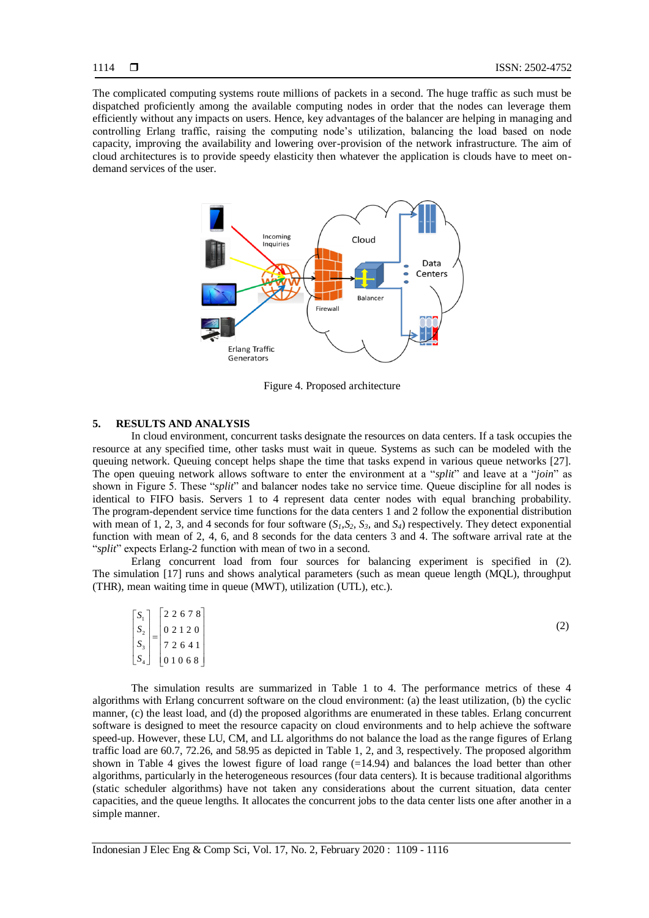The complicated computing systems route millions of packets in a second. The huge traffic as such must be dispatched proficiently among the available computing nodes in order that the nodes can leverage them efficiently without any impacts on users. Hence, key advantages of the balancer are helping in managing and controlling Erlang traffic, raising the computing node's utilization, balancing the load based on node capacity, improving the availability and lowering over-provision of the network infrastructure. The aim of cloud architectures is to provide speedy elasticity then whatever the application is clouds have to meet ondemand services of the user.



Figure 4. Proposed architecture

#### **5. RESULTS AND ANALYSIS**

In cloud environment, concurrent tasks designate the resources on data centers. If a task occupies the resource at any specified time, other tasks must wait in queue. Systems as such can be modeled with the queuing network. Queuing concept helps shape the time that tasks expend in various queue networks [27]. The open queuing network allows software to enter the environment at a "*split*" and leave at a "*join*" as shown in Figure 5. These "*split*" and balancer nodes take no service time. Queue discipline for all nodes is identical to FIFO basis. Servers 1 to 4 represent data center nodes with equal branching probability. The program-dependent service time functions for the data centers 1 and 2 follow the exponential distribution with mean of 1, 2, 3, and 4 seconds for four software  $(S_1, S_2, S_3, \text{ and } S_4)$  respectively. They detect exponential function with mean of 2, 4, 6, and 8 seconds for the data centers 3 and 4. The software arrival rate at the "*split*" expects Erlang-2 function with mean of two in a second.

Erlang concurrent load from four sources for balancing experiment is specified in (2). The simulation [17] runs and shows analytical parameters (such as mean queue length (MQL), throughput (THR), mean waiting time in queue (MWT), utilization (UTL), etc.).

|         | $\begin{bmatrix} S_1 \end{bmatrix}$ 22678 |     |
|---------|-------------------------------------------|-----|
| $ S_2 $ | 02120                                     | (2) |
| $ S_3 $ | 72641                                     |     |
|         | $\lfloor S_4 \rfloor$ 01068               |     |

The simulation results are summarized in Table 1 to 4. The performance metrics of these 4 algorithms with Erlang concurrent software on the cloud environment: (a) the least utilization, (b) the cyclic manner, (c) the least load, and (d) the proposed algorithms are enumerated in these tables. Erlang concurrent software is designed to meet the resource capacity on cloud environments and to help achieve the software speed-up. However, these LU, CM, and LL algorithms do not balance the load as the range figures of Erlang traffic load are 60.7, 72.26, and 58.95 as depicted in Table 1, 2, and 3, respectively. The proposed algorithm shown in Table 4 gives the lowest figure of load range  $(=14.94)$  and balances the load better than other algorithms, particularly in the heterogeneous resources (four data centers). It is because traditional algorithms (static scheduler algorithms) have not taken any considerations about the current situation, data center capacities, and the queue lengths. It allocates the concurrent jobs to the data center lists one after another in a simple manner.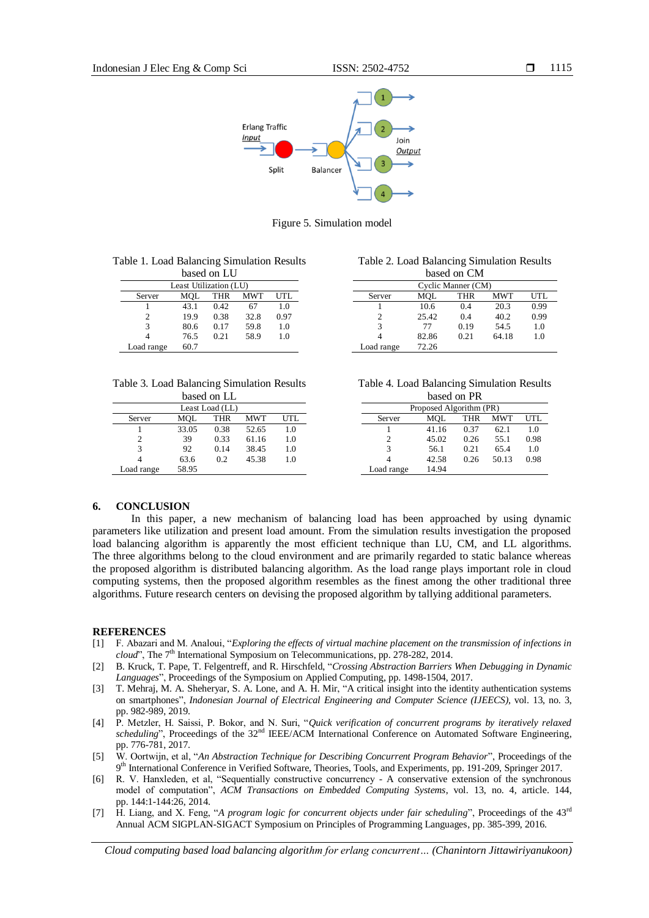

Figure 5. Simulation model

| Table 1. Load Balancing Simulation Results |  |
|--------------------------------------------|--|
|--------------------------------------------|--|

| based on LU            |                                  |      |      |      |  |  |  |
|------------------------|----------------------------------|------|------|------|--|--|--|
| Least Utilization (LU) |                                  |      |      |      |  |  |  |
| Server                 | <b>MWT</b><br>UTL.<br>MOL<br>THR |      |      |      |  |  |  |
|                        | 43.1                             | 0.42 | 67   | 1.0  |  |  |  |
| 2                      | 19.9                             | 0.38 | 32.8 | 0.97 |  |  |  |
| 3                      | 80.6                             | 0.17 | 59.8 | 1.0  |  |  |  |
|                        | 76.5                             | 0.21 | 58.9 | 1.0  |  |  |  |
| Load range             | 60.7                             |      |      |      |  |  |  |

| Table 2. Load Balancing Simulation Results |  |
|--------------------------------------------|--|
|--------------------------------------------|--|

| based on CM                               |       |      |       |      |  |  |
|-------------------------------------------|-------|------|-------|------|--|--|
| Cyclic Manner (CM)                        |       |      |       |      |  |  |
| MOL<br><b>MWT</b><br>UTL<br>THR<br>Server |       |      |       |      |  |  |
|                                           | 10.6  | 0.4  | 20.3  | 0.99 |  |  |
| 2                                         | 25.42 | 0.4  | 40.2  | 0.99 |  |  |
| 3                                         | 77    | 0.19 | 54.5  | 1.0  |  |  |
|                                           | 82.86 | 0.21 | 64.18 | 1.0  |  |  |
| Load range                                | 72.26 |      |       |      |  |  |

|  |  | Table 3. Load Balancing Simulation Results |  |
|--|--|--------------------------------------------|--|
|  |  |                                            |  |

| based on LL                        |       |      |       |     |  |  |
|------------------------------------|-------|------|-------|-----|--|--|
| Least Load (LL)                    |       |      |       |     |  |  |
| MWT<br>MOL<br>UTL<br>THR<br>Server |       |      |       |     |  |  |
|                                    | 33.05 | 0.38 | 52.65 | 1.0 |  |  |
| $\mathcal{D}_{\mathcal{A}}$        | 39    | 0.33 | 61.16 | 1.0 |  |  |
| 3                                  | 92    | 0.14 | 38.45 | 1.0 |  |  |
|                                    | 63.6  | 0.2  | 45.38 | 1.0 |  |  |
| Load range                         | 58.95 |      |       |     |  |  |

| Table 4. Load Balancing Simulation Results |  |
|--------------------------------------------|--|
| based on PR                                |  |

| Proposed Algorithm (PR)            |       |      |       |      |  |  |  |
|------------------------------------|-------|------|-------|------|--|--|--|
| UTL<br>MWT<br>MOL<br>Server<br>THR |       |      |       |      |  |  |  |
|                                    | 41.16 | 0.37 | 62.1  | 1.0  |  |  |  |
| 2                                  | 45.02 | 0.26 | 55.1  | 0.98 |  |  |  |
| 3                                  | 56.1  | 0.21 | 65.4  | 1.0  |  |  |  |
|                                    | 42.58 | 0.26 | 50.13 | 0.98 |  |  |  |
| Load range                         | 14.94 |      |       |      |  |  |  |

#### **6. CONCLUSION**

In this paper, a new mechanism of balancing load has been approached by using dynamic parameters like utilization and present load amount. From the simulation results investigation the proposed load balancing algorithm is apparently the most efficient technique than LU, CM, and LL algorithms. The three algorithms belong to the cloud environment and are primarily regarded to static balance whereas the proposed algorithm is distributed balancing algorithm. As the load range plays important role in cloud computing systems, then the proposed algorithm resembles as the finest among the other traditional three algorithms. Future research centers on devising the proposed algorithm by tallying additional parameters.

#### **REFERENCES**

- [1] F. Abazari and M. Analoui, "*Exploring the effects of virtual machine placement on the transmission of infections in*  cloud", The 7<sup>th</sup> International Symposium on Telecommunications, pp. 278-282, 2014.
- [2] B. Kruck, T. Pape, T. Felgentreff, and R. Hirschfeld, "*Crossing Abstraction Barriers When Debugging in Dynamic Languages*", Proceedings of the Symposium on Applied Computing, pp. 1498-1504, 2017.
- [3] T. Mehraj, M. A. Sheheryar, S. A. Lone, and A. H. Mir, "A critical insight into the identity authentication systems on smartphones", *Indonesian Journal of Electrical Engineering and Computer Science (IJEECS),* vol. 13, no. 3, pp. 982-989, 2019.
- [4] P. Metzler, H. Saissi, P. Bokor, and N. Suri, "*Quick verification of concurrent programs by iteratively relaxed scheduling*", Proceedings of the 32<sup>nd</sup> IEEE/ACM International Conference on Automated Software Engineering, pp. 776-781, 2017.
- [5] W. Oortwijn, et al, "*An Abstraction Technique for Describing Concurrent Program Behavior*", Proceedings of the 9 th International Conference in Verified Software, Theories, Tools, and Experiments*,* pp. 191-209, Springer 2017.
- [6] R. V. Hanxleden, et al, "Sequentially constructive concurrency A conservative extension of the synchronous model of computation", *ACM Transactions on Embedded Computing Systems*, vol. 13, no. 4, article. 144, pp. 144:1-144:26, 2014.
- [7] H. Liang, and X. Feng, "*A program logic for concurrent objects under fair scheduling*", Proceedings of the 43rd Annual ACM SIGPLAN-SIGACT Symposium on Principles of Programming Languages, pp. 385-399, 2016.

*Cloud computing based load balancing algorithm for erlang concurrent… (Chanintorn Jittawiriyanukoon)*